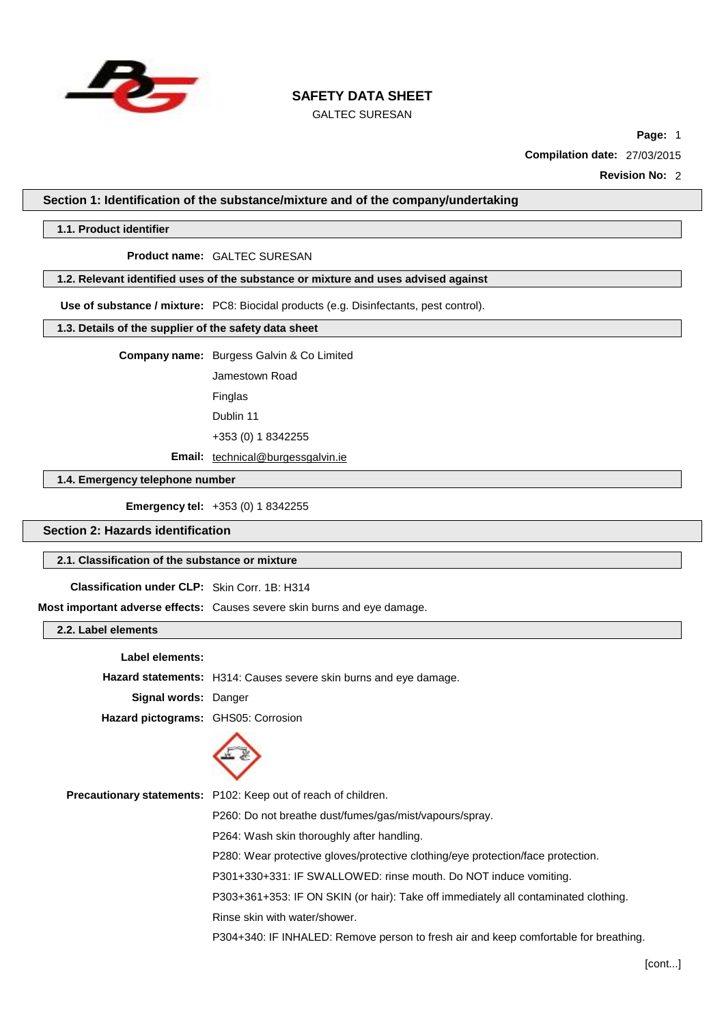

# GALTEC SURESAN

**Page:** 1

**Compilation date:** 27/03/2015

**Revision No:** 2

**Section 1: Identification of the substance/mixture and of the company/undertaking**

#### **1.1. Product identifier**

#### **Product name:** GALTEC SURESAN

#### **1.2. Relevant identified uses of the substance or mixture and uses advised against**

**Use of substance / mixture:** PC8: Biocidal products (e.g. Disinfectants, pest control).

#### **1.3. Details of the supplier of the safety data sheet**

**Company name:** Burgess Galvin & Co Limited

Jamestown Road Finglas

Dublin 11

+353 (0) 1 8342255

**Email:** [technical@burgessgalvin.ie](mailto:technical@burgessgalvin.ie)

**1.4. Emergency telephone number**

**Emergency tel:** +353 (0) 1 8342255

**Section 2: Hazards identification**

#### **2.1. Classification of the substance or mixture**

**Classification under CLP:** Skin Corr. 1B: H314

**Most important adverse effects:** Causes severe skin burns and eye damage.

**2.2. Label elements**

**Label elements:**

**Hazard statements:** H314: Causes severe skin burns and eye damage.

**Signal words:** Danger

**Hazard pictograms:** GHS05: Corrosion



**Precautionary statements:** P102: Keep out of reach of children.

P260: Do not breathe dust/fumes/gas/mist/vapours/spray.

P264: Wash skin thoroughly after handling.

P280: Wear protective gloves/protective clothing/eye protection/face protection.

P301+330+331: IF SWALLOWED: rinse mouth. Do NOT induce vomiting.

P303+361+353: IF ON SKIN (or hair): Take off immediately all contaminated clothing.

Rinse skin with water/shower.

P304+340: IF INHALED: Remove person to fresh air and keep comfortable for breathing.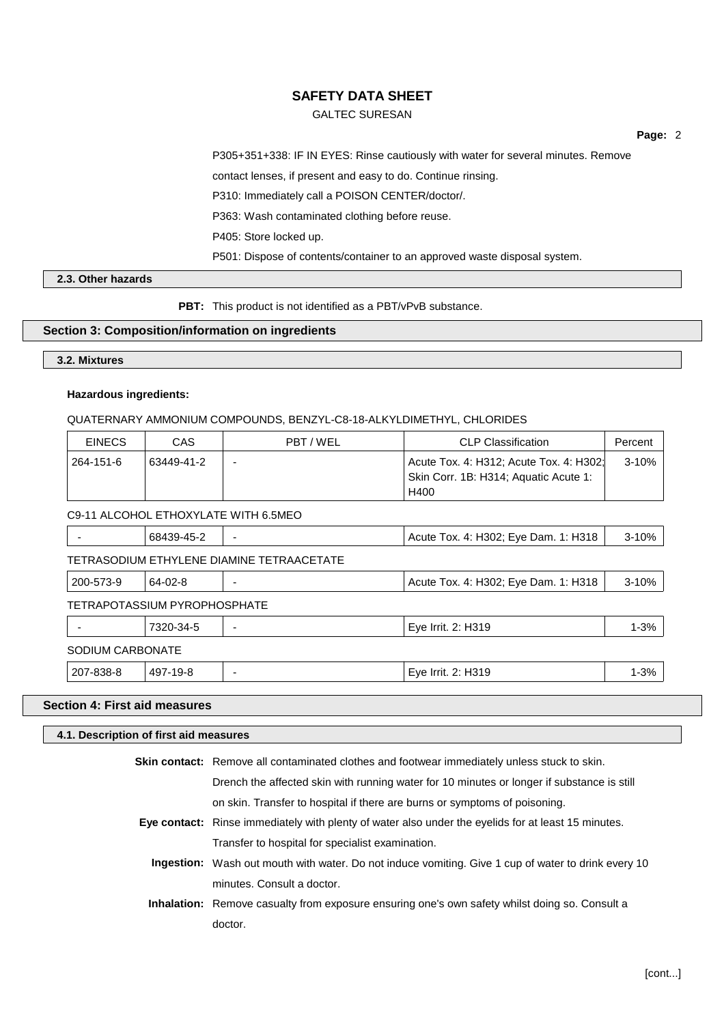### GALTEC SURESAN

**Page:** 2

P305+351+338: IF IN EYES: Rinse cautiously with water for several minutes. Remove

contact lenses, if present and easy to do. Continue rinsing.

P310: Immediately call a POISON CENTER/doctor/.

P363: Wash contaminated clothing before reuse.

P405: Store locked up.

P501: Dispose of contents/container to an approved waste disposal system.

## **2.3. Other hazards**

**PBT:** This product is not identified as a PBT/vPvB substance.

#### **Section 3: Composition/information on ingredients**

# **3.2. Mixtures**

#### **Hazardous ingredients:**

#### QUATERNARY AMMONIUM COMPOUNDS, BENZYL-C8-18-ALKYLDIMETHYL, CHLORIDES

| <b>EINECS</b>    | <b>CAS</b>                   | PBT/WEL                                   | <b>CLP Classification</b>                                                                | Percent   |
|------------------|------------------------------|-------------------------------------------|------------------------------------------------------------------------------------------|-----------|
| 264-151-6        | 63449-41-2                   |                                           | Acute Tox. 4: H312; Acute Tox. 4: H302;<br>Skin Corr. 1B: H314; Aquatic Acute 1:<br>H400 | $3 - 10%$ |
|                  |                              | C9-11 ALCOHOL ETHOXYLATE WITH 6.5MEO      |                                                                                          |           |
|                  | 68439-45-2                   |                                           | Acute Tox. 4: H302; Eye Dam. 1: H318                                                     | $3 - 10%$ |
|                  |                              | TETRASODIUM ETHYLENE DIAMINE TETRAACETATE |                                                                                          |           |
| 200-573-9        | 64-02-8                      |                                           | Acute Tox. 4: H302; Eye Dam. 1: H318                                                     | $3 - 10%$ |
|                  | TETRAPOTASSIUM PYROPHOSPHATE |                                           |                                                                                          |           |
|                  | 7320-34-5                    |                                           | Eye Irrit. 2: H319                                                                       | $1 - 3%$  |
| SODIUM CARBONATE |                              |                                           |                                                                                          |           |
| 207-838-8        | 497-19-8                     |                                           | Eye Irrit. 2: H319                                                                       | $1 - 3%$  |

### **Section 4: First aid measures**

#### **4.1. Description of first aid measures**

| Skin contact: Remove all contaminated clothes and footwear immediately unless stuck to skin.               |
|------------------------------------------------------------------------------------------------------------|
| Drench the affected skin with running water for 10 minutes or longer if substance is still                 |
| on skin. Transfer to hospital if there are burns or symptoms of poisoning.                                 |
| Eye contact: Rinse immediately with plenty of water also under the eyelids for at least 15 minutes.        |
| Transfer to hospital for specialist examination.                                                           |
| <b>Ingestion:</b> Wash out mouth with water. Do not induce vomiting. Give 1 cup of water to drink every 10 |
| minutes. Consult a doctor.                                                                                 |
| <b>Inhalation:</b> Remove casualty from exposure ensuring one's own safety whilst doing so. Consult a      |
| doctor.                                                                                                    |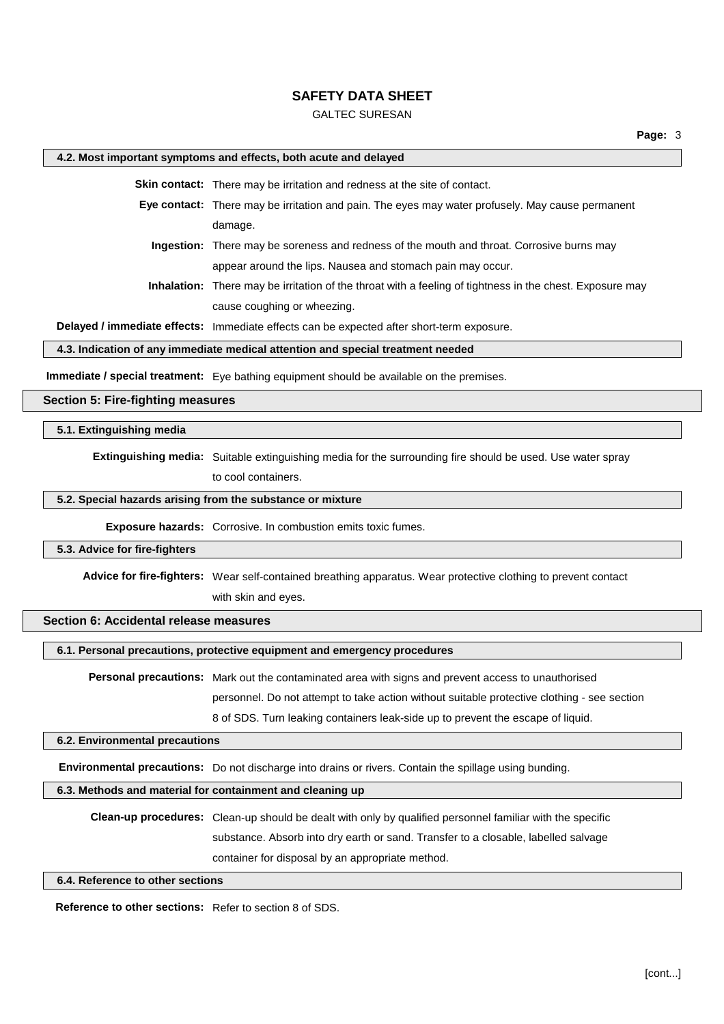### GALTEC SURESAN

#### **4.2. Most important symptoms and effects, both acute and delayed**

**Skin contact:** There may be irritation and redness at the site of contact.

- **Eye contact:** There may be irritation and pain. The eyes may water profusely. May cause permanent damage.
	- **Ingestion:** There may be soreness and redness of the mouth and throat. Corrosive burns may appear around the lips. Nausea and stomach pain may occur.
	- **Inhalation:** There may be irritation of the throat with a feeling of tightness in the chest. Exposure may cause coughing or wheezing.

**Delayed / immediate effects:** Immediate effects can be expected after short-term exposure.

#### **4.3. Indication of any immediate medical attention and special treatment needed**

**Immediate / special treatment:** Eye bathing equipment should be available on the premises.

#### **Section 5: Fire-fighting measures**

#### **5.1. Extinguishing media**

**Extinguishing media:** Suitable extinguishing media for the surrounding fire should be used. Use water spray

to cool containers.

### **5.2. Special hazards arising from the substance or mixture**

**Exposure hazards:** Corrosive. In combustion emits toxic fumes.

#### **5.3. Advice for fire-fighters**

**Advice for fire-fighters:** Wear self-contained breathing apparatus. Wear protective clothing to prevent contact with skin and eyes.

### **Section 6: Accidental release measures**

#### **6.1. Personal precautions, protective equipment and emergency procedures**

**Personal precautions:** Mark out the contaminated area with signs and prevent access to unauthorised personnel. Do not attempt to take action without suitable protective clothing - see section 8 of SDS. Turn leaking containers leak-side up to prevent the escape of liquid.

#### **6.2. Environmental precautions**

**Environmental precautions:** Do not discharge into drains or rivers. Contain the spillage using bunding.

### **6.3. Methods and material for containment and cleaning up**

**Clean-up procedures:** Clean-up should be dealt with only by qualified personnel familiar with the specific substance. Absorb into dry earth or sand. Transfer to a closable, labelled salvage container for disposal by an appropriate method.

#### **6.4. Reference to other sections**

**Reference to other sections:** Refer to section 8 of SDS.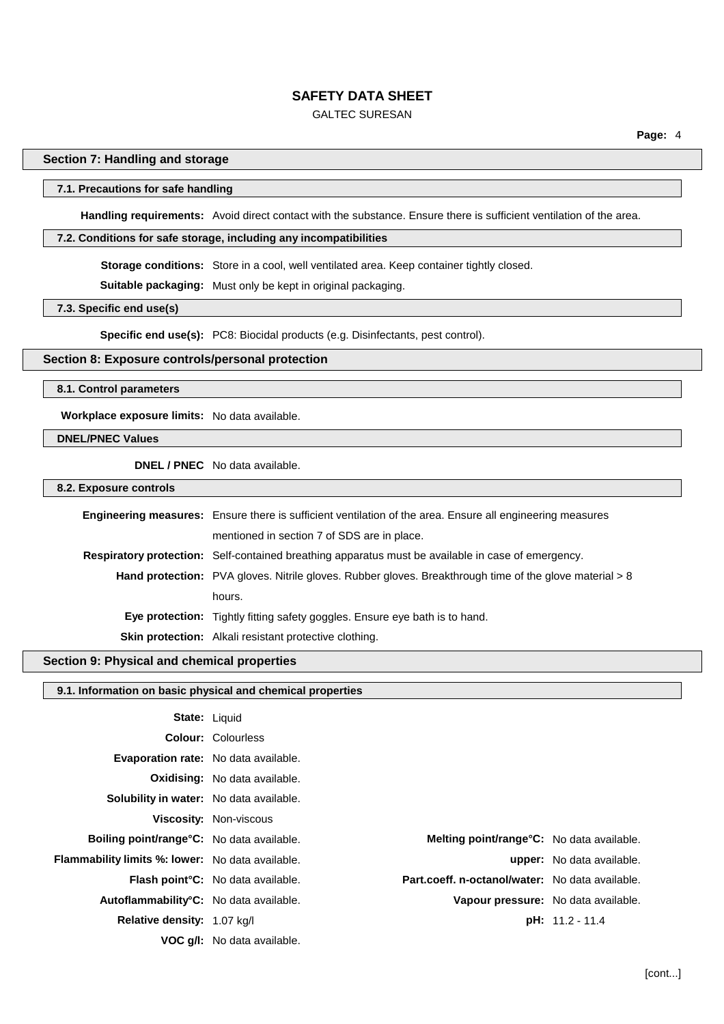### GALTEC SURESAN

### **Section 7: Handling and storage**

#### **7.1. Precautions for safe handling**

**Handling requirements:** Avoid direct contact with the substance. Ensure there is sufficient ventilation of the area.

#### **7.2. Conditions for safe storage, including any incompatibilities**

**Storage conditions:** Store in a cool, well ventilated area. Keep container tightly closed.

**Suitable packaging:** Must only be kept in original packaging.

**7.3. Specific end use(s)**

**Specific end use(s):** PC8: Biocidal products (e.g. Disinfectants, pest control).

### **Section 8: Exposure controls/personal protection**

#### **8.1. Control parameters**

**Workplace exposure limits:** No data available.

### **DNEL/PNEC Values**

**DNEL / PNEC** No data available.

**8.2. Exposure controls**

| <b>Engineering measures:</b> Ensure there is sufficient ventilation of the area. Ensure all engineering measures |  |  |
|------------------------------------------------------------------------------------------------------------------|--|--|
| mentioned in section 7 of SDS are in place.                                                                      |  |  |
| Respiratory protection: Self-contained breathing apparatus must be available in case of emergency.               |  |  |
| Hand protection: PVA gloves. Nitrile gloves. Rubber gloves. Breakthrough time of the glove material > 8          |  |  |
| hours.                                                                                                           |  |  |
| <b>Eye protection:</b> Tightly fitting safety goggles. Ensure eye bath is to hand.                               |  |  |
| Skin protection: Alkali resistant protective clothing.                                                           |  |  |

### **Section 9: Physical and chemical properties**

#### **9.1. Information on basic physical and chemical properties**

| <b>State: Liquid</b>                                    |                                           |                                                  |                                  |
|---------------------------------------------------------|-------------------------------------------|--------------------------------------------------|----------------------------------|
|                                                         | <b>Colour: Colourless</b>                 |                                                  |                                  |
| <b>Evaporation rate:</b> No data available.             |                                           |                                                  |                                  |
|                                                         | <b>Oxidising:</b> No data available.      |                                                  |                                  |
| <b>Solubility in water:</b> No data available.          |                                           |                                                  |                                  |
|                                                         | Viscosity: Non-viscous                    |                                                  |                                  |
| <b>Boiling point/range °C:</b> No data available.       |                                           | <b>Melting point/range°C:</b> No data available. |                                  |
| <b>Flammability limits %: lower:</b> No data available. |                                           |                                                  | <b>upper:</b> No data available. |
|                                                         | <b>Flash point °C:</b> No data available. | Part.coeff. n-octanol/water: No data available.  |                                  |
| Autoflammability°C: No data available.                  |                                           | Vapour pressure: No data available.              |                                  |
| <b>Relative density:</b> 1.07 kg/l                      |                                           |                                                  | <b>pH:</b> 11.2 - 11.4           |
|                                                         | VOC q/I: No data available.               |                                                  |                                  |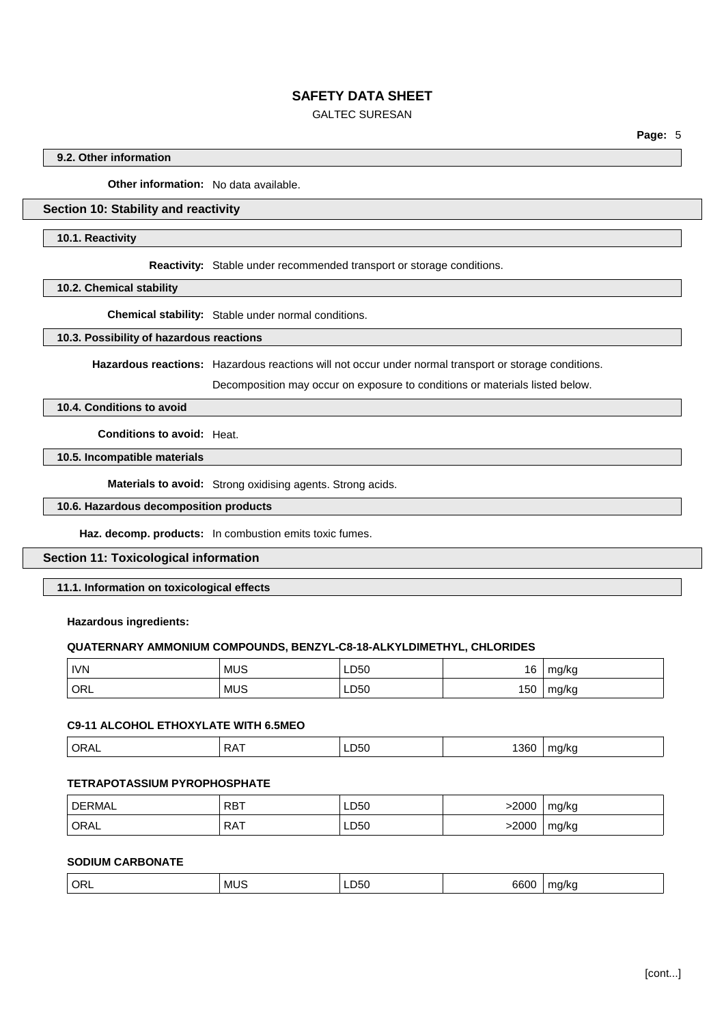# GALTEC SURESAN

**Page:** 5

### **9.2. Other information**

**Other information:** No data available.

# **Section 10: Stability and reactivity**

#### **10.1. Reactivity**

**Reactivity:** Stable under recommended transport or storage conditions.

**10.2. Chemical stability**

**Chemical stability:** Stable under normal conditions.

#### **10.3. Possibility of hazardous reactions**

**Hazardous reactions:** Hazardous reactions will not occur under normal transport or storage conditions.

Decomposition may occur on exposure to conditions or materials listed below.

# **10.4. Conditions to avoid**

**Conditions to avoid:** Heat.

### **10.5. Incompatible materials**

**Materials to avoid:** Strong oxidising agents. Strong acids.

# **10.6. Hazardous decomposition products**

**Haz. decomp. products:** In combustion emits toxic fumes.

#### **Section 11: Toxicological information**

### **11.1. Information on toxicological effects**

### **Hazardous ingredients:**

#### **QUATERNARY AMMONIUM COMPOUNDS, BENZYL-C8-18-ALKYLDIMETHYL, CHLORIDES**

| <b>IVN</b> | <b>MUS</b> | LD50 | 16  | mg/kg |
|------------|------------|------|-----|-------|
| ' ORL      | <b>MUS</b> | LD50 | 150 | mg/kg |

### **C9-11 ALCOHOL ETHOXYLATE WITH 6.5MEO**

| .<br>$  -$ | ╌<br>.<br>-<br>. .<br>$\mathbf{v}$ | LDOU | .36C<br>$\cdot$ | אי "<br>- - |
|------------|------------------------------------|------|-----------------|-------------|
|            |                                    |      |                 |             |

#### **TETRAPOTASSIUM PYROPHOSPHATE**

| DERMAL      | <b>RBT</b> | LD50 | .2000 | mg/kg |
|-------------|------------|------|-------|-------|
| <b>ORAL</b> | RAT<br>.   | LD50 | 2000  | mg/kg |

## **SODIUM CARBONATE**

| ' ORL | 'MU. | . .<br>–050 ـ | 6600 | ma/ka |
|-------|------|---------------|------|-------|
|-------|------|---------------|------|-------|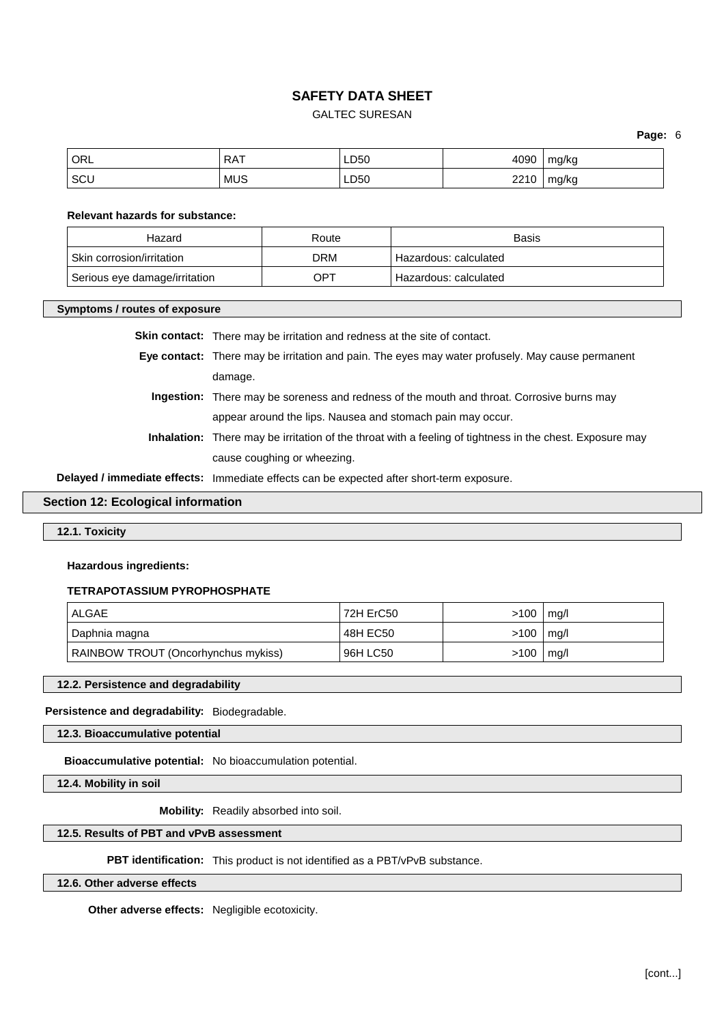### GALTEC SURESAN

**Page:** 6

| ORL | DAT<br>ו רעו | LD50       | 4090           | mg/kg |
|-----|--------------|------------|----------------|-------|
| SCU | <b>MUS</b>   | LD50<br>__ | 2210<br>22 I V | mg/kg |

#### **Relevant hazards for substance:**

| Hazard                        | Route | <b>Basis</b>            |
|-------------------------------|-------|-------------------------|
| Skin corrosion/irritation     | DRM   | ' Hazardous: calculated |
| Serious eye damage/irritation | OPT   | ' Hazardous: calculated |

#### **Symptoms / routes of exposure**

|  | <b>Skin contact:</b> There may be irritation and redness at the site of contact. |
|--|----------------------------------------------------------------------------------|
|--|----------------------------------------------------------------------------------|

- **Eye contact:** There may be irritation and pain. The eyes may water profusely. May cause permanent damage.
	- **Ingestion:** There may be soreness and redness of the mouth and throat. Corrosive burns may appear around the lips. Nausea and stomach pain may occur.
	- **Inhalation:** There may be irritation of the throat with a feeling of tightness in the chest. Exposure may cause coughing or wheezing.

**Delayed / immediate effects:** Immediate effects can be expected after short-term exposure.

#### **Section 12: Ecological information**

**12.1. Toxicity**

#### **Hazardous ingredients:**

# **TETRAPOTASSIUM PYROPHOSPHATE**

| ALGAE                               | 72H ErC50 | >100 | ma/l |
|-------------------------------------|-----------|------|------|
| Daphnia magna                       | 48H EC50  | >100 | mg/l |
| RAINBOW TROUT (Oncorhynchus mykiss) | 96H LC50  | >100 | mg/l |

#### **12.2. Persistence and degradability**

**Persistence and degradability:** Biodegradable.

**12.3. Bioaccumulative potential**

**Bioaccumulative potential:** No bioaccumulation potential.

**12.4. Mobility in soil**

**Mobility:** Readily absorbed into soil.

### **12.5. Results of PBT and vPvB assessment**

**PBT identification:** This product is not identified as a PBT/vPvB substance.

**12.6. Other adverse effects**

**Other adverse effects:** Negligible ecotoxicity.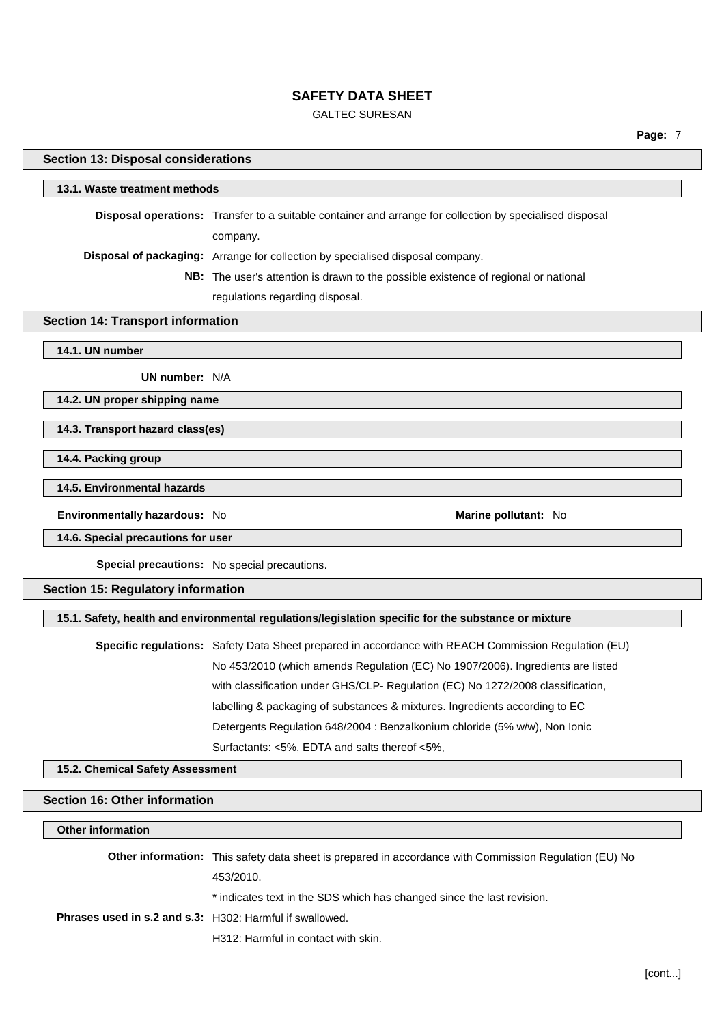# GALTEC SURESAN

| <b>Section 13: Disposal considerations</b>               |                                                                                                          |
|----------------------------------------------------------|----------------------------------------------------------------------------------------------------------|
| 13.1. Waste treatment methods                            |                                                                                                          |
|                                                          | Disposal operations: Transfer to a suitable container and arrange for collection by specialised disposal |
|                                                          | company.                                                                                                 |
|                                                          | Disposal of packaging: Arrange for collection by specialised disposal company.                           |
|                                                          | NB: The user's attention is drawn to the possible existence of regional or national                      |
|                                                          | regulations regarding disposal.                                                                          |
| <b>Section 14: Transport information</b>                 |                                                                                                          |
| 14.1. UN number                                          |                                                                                                          |
| UN number: N/A                                           |                                                                                                          |
| 14.2. UN proper shipping name                            |                                                                                                          |
| 14.3. Transport hazard class(es)                         |                                                                                                          |
| 14.4. Packing group                                      |                                                                                                          |
| 14.5. Environmental hazards                              |                                                                                                          |
| Environmentally hazardous: No                            | Marine pollutant: No                                                                                     |
| 14.6. Special precautions for user                       |                                                                                                          |
|                                                          | Special precautions: No special precautions.                                                             |
| <b>Section 15: Regulatory information</b>                |                                                                                                          |
|                                                          | 15.1. Safety, health and environmental regulations/legislation specific for the substance or mixture     |
|                                                          | Specific regulations: Safety Data Sheet prepared in accordance with REACH Commission Regulation (EU)     |
|                                                          | No 453/2010 (which amends Regulation (EC) No 1907/2006). Ingredients are listed                          |
|                                                          | with classification under GHS/CLP- Regulation (EC) No 1272/2008 classification,                          |
|                                                          | labelling & packaging of substances & mixtures. Ingredients according to EC                              |
|                                                          | Detergents Regulation 648/2004 : Benzalkonium chloride (5% w/w), Non Ionic                               |
|                                                          | Surfactants: <5%, EDTA and salts thereof <5%,                                                            |
| 15.2. Chemical Safety Assessment                         |                                                                                                          |
| <b>Section 16: Other information</b>                     |                                                                                                          |
| <b>Other information</b>                                 |                                                                                                          |
|                                                          |                                                                                                          |
|                                                          | Other information: This safety data sheet is prepared in accordance with Commission Regulation (EU) No   |
|                                                          | 453/2010.                                                                                                |
|                                                          | * indicates text in the SDS which has changed since the last revision.                                   |
| Phrases used in s.2 and s.3: H302: Harmful if swallowed. |                                                                                                          |